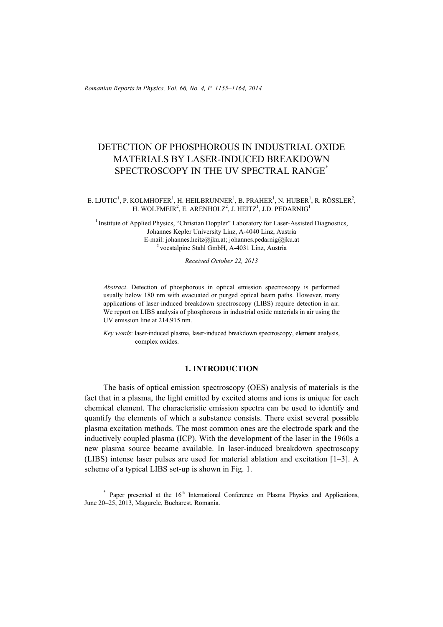*Romanian Reports in Physics, Vol. 66, No. 4, P. 1155–1164, 2014*

# DETECTION OF PHOSPHOROUS IN INDUSTRIAL OXIDE MATERIALS BY LASER-INDUCED BREAKDOWN SPECTROSCOPY IN THE UV SPECTRAL RANGE<sup>\*</sup>

#### E. LJUTIC<sup>1</sup>, P. KOLMHOFER<sup>1</sup>, H. HEILBRUNNER<sup>1</sup>, B. PRAHER<sup>1</sup>, N. HUBER<sup>1</sup>, R. RÖSSLER<sup>2</sup>, H. WOLFMEIR<sup>2</sup>, E. ARENHOLZ<sup>2</sup>, J. HEITZ<sup>1</sup>, J.D. PEDARNIG<sup>1</sup>

<sup>1</sup> Institute of Applied Physics, "Christian Doppler" Laboratory for Laser-Assisted Diagnostics, Johannes Kepler University Linz, A-4040 Linz, Austria E-mail: johannes.heitz@jku.at; johannes.pedarnig@jku.at 2 voestalpine Stahl GmbH, A-4031 Linz, Austria

*Received October 22, 2013* 

*Abstract*. Detection of phosphorous in optical emission spectroscopy is performed usually below 180 nm with evacuated or purged optical beam paths. However, many applications of laser-induced breakdown spectroscopy (LIBS) require detection in air. We report on LIBS analysis of phosphorous in industrial oxide materials in air using the UV emission line at 214.915 nm.

*Key words*: laser-induced plasma, laser-induced breakdown spectroscopy, element analysis, complex oxides.

### **1. INTRODUCTION**

The basis of optical emission spectroscopy (OES) analysis of materials is the fact that in a plasma, the light emitted by excited atoms and ions is unique for each chemical element. The characteristic emission spectra can be used to identify and quantify the elements of which a substance consists. There exist several possible plasma excitation methods. The most common ones are the electrode spark and the inductively coupled plasma (ICP). With the development of the laser in the 1960s a new plasma source became available. In laser-induced breakdown spectroscopy (LIBS) intense laser pulses are used for material ablation and excitation [1–3]. A scheme of a typical LIBS set-up is shown in Fig. 1.

 $*$  Paper presented at the  $16<sup>th</sup>$  International Conference on Plasma Physics and Applications, June 20–25, 2013, Magurele, Bucharest, Romania.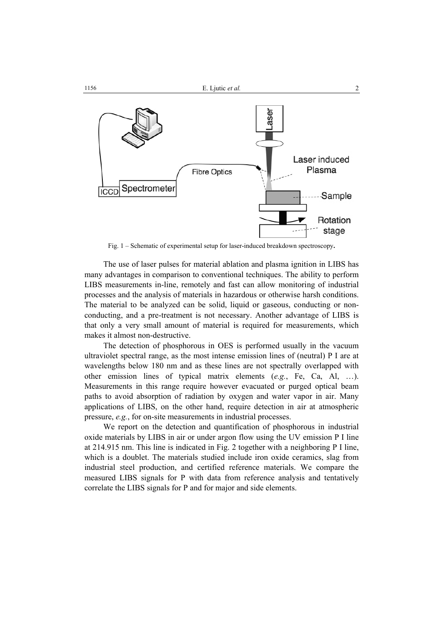

Fig. 1 – Schematic of experimental setup for laser-induced breakdown spectroscopy**.** 

The use of laser pulses for material ablation and plasma ignition in LIBS has many advantages in comparison to conventional techniques. The ability to perform LIBS measurements in-line, remotely and fast can allow monitoring of industrial processes and the analysis of materials in hazardous or otherwise harsh conditions. The material to be analyzed can be solid, liquid or gaseous, conducting or nonconducting, and a pre-treatment is not necessary. Another advantage of LIBS is that only a very small amount of material is required for measurements, which makes it almost non-destructive.

The detection of phosphorous in OES is performed usually in the vacuum ultraviolet spectral range, as the most intense emission lines of (neutral) P I are at wavelengths below 180 nm and as these lines are not spectrally overlapped with other emission lines of typical matrix elements (*e.g.*, Fe, Ca, Al, …). Measurements in this range require however evacuated or purged optical beam paths to avoid absorption of radiation by oxygen and water vapor in air. Many applications of LIBS, on the other hand, require detection in air at atmospheric pressure, *e.g.*, for on-site measurements in industrial processes.

We report on the detection and quantification of phosphorous in industrial oxide materials by LIBS in air or under argon flow using the UV emission P I line at 214.915 nm. This line is indicated in Fig. 2 together with a neighboring P I line, which is a doublet. The materials studied include iron oxide ceramics, slag from industrial steel production, and certified reference materials. We compare the measured LIBS signals for P with data from reference analysis and tentatively correlate the LIBS signals for P and for major and side elements.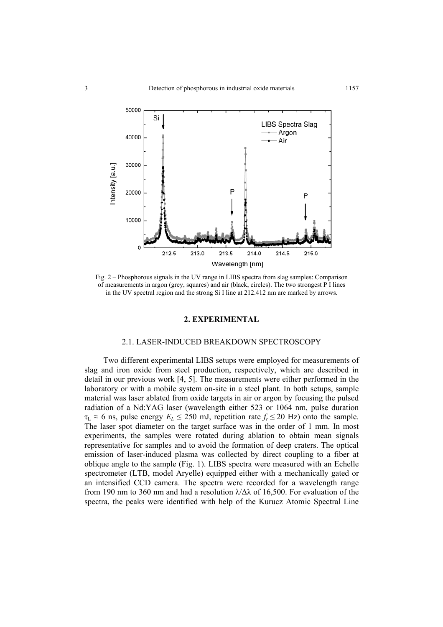

Fig. 2 – Phosphorous signals in the UV range in LIBS spectra from slag samples: Comparison of measurements in argon (grey, squares) and air (black, circles). The two strongest P I lines in the UV spectral region and the strong Si I line at 212.412 nm are marked by arrows.

#### **2. EXPERIMENTAL**

#### 2.1. LASER-INDUCED BREAKDOWN SPECTROSCOPY

Two different experimental LIBS setups were employed for measurements of slag and iron oxide from steel production, respectively, which are described in detail in our previous work [4, 5]. The measurements were either performed in the laboratory or with a mobile system on-site in a steel plant. In both setups, sample material was laser ablated from oxide targets in air or argon by focusing the pulsed radiation of a Nd:YAG laser (wavelength either 523 or 1064 nm, pulse duration  $\tau_L \approx 6$  ns, pulse energy  $E_L \le 250$  mJ, repetition rate  $f_r \le 20$  Hz) onto the sample. The laser spot diameter on the target surface was in the order of 1 mm. In most experiments, the samples were rotated during ablation to obtain mean signals representative for samples and to avoid the formation of deep craters. The optical emission of laser-induced plasma was collected by direct coupling to a fiber at oblique angle to the sample (Fig. 1). LIBS spectra were measured with an Echelle spectrometer (LTB, model Aryelle) equipped either with a mechanically gated or an intensified CCD camera. The spectra were recorded for a wavelength range from 190 nm to 360 nm and had a resolution  $\lambda/\Delta\lambda$  of 16,500. For evaluation of the spectra, the peaks were identified with help of the Kurucz Atomic Spectral Line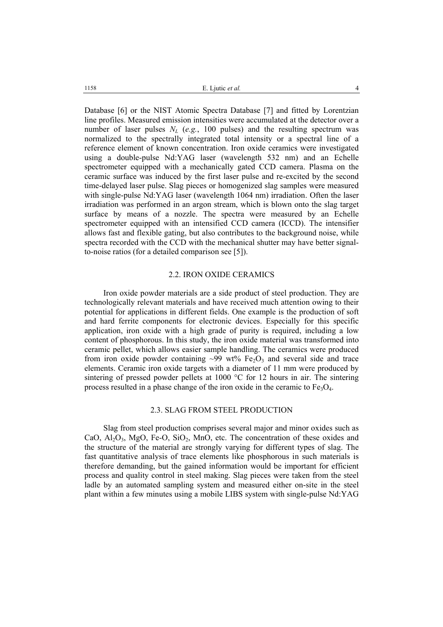Database [6] or the NIST Atomic Spectra Database [7] and fitted by Lorentzian line profiles. Measured emission intensities were accumulated at the detector over a number of laser pulses  $N_L$  (*e.g.*, 100 pulses) and the resulting spectrum was normalized to the spectrally integrated total intensity or a spectral line of a reference element of known concentration. Iron oxide ceramics were investigated using a double-pulse Nd:YAG laser (wavelength 532 nm) and an Echelle spectrometer equipped with a mechanically gated CCD camera. Plasma on the ceramic surface was induced by the first laser pulse and re-excited by the second time-delayed laser pulse. Slag pieces or homogenized slag samples were measured with single-pulse Nd:YAG laser (wavelength 1064 nm) irradiation. Often the laser irradiation was performed in an argon stream, which is blown onto the slag target surface by means of a nozzle. The spectra were measured by an Echelle spectrometer equipped with an intensified CCD camera (ICCD). The intensifier allows fast and flexible gating, but also contributes to the background noise, while spectra recorded with the CCD with the mechanical shutter may have better signalto-noise ratios (for a detailed comparison see [5]).

## 2.2. IRON OXIDE CERAMICS

Iron oxide powder materials are a side product of steel production. They are technologically relevant materials and have received much attention owing to their potential for applications in different fields. One example is the production of soft and hard ferrite components for electronic devices. Especially for this specific application, iron oxide with a high grade of purity is required, including a low content of phosphorous. In this study, the iron oxide material was transformed into ceramic pellet, which allows easier sample handling. The ceramics were produced from iron oxide powder containing  $\sim 99$  wt% Fe<sub>2</sub>O<sub>3</sub> and several side and trace elements. Ceramic iron oxide targets with a diameter of 11 mm were produced by sintering of pressed powder pellets at 1000 °C for 12 hours in air. The sintering process resulted in a phase change of the iron oxide in the ceramic to  $Fe<sub>3</sub>O<sub>4</sub>$ .

### 2.3. SLAG FROM STEEL PRODUCTION

Slag from steel production comprises several major and minor oxides such as CaO,  $Al_2O_3$ , MgO, Fe-O, SiO<sub>2</sub>, MnO, etc. The concentration of these oxides and the structure of the material are strongly varying for different types of slag. The fast quantitative analysis of trace elements like phosphorous in such materials is therefore demanding, but the gained information would be important for efficient process and quality control in steel making. Slag pieces were taken from the steel ladle by an automated sampling system and measured either on-site in the steel plant within a few minutes using a mobile LIBS system with single-pulse Nd:YAG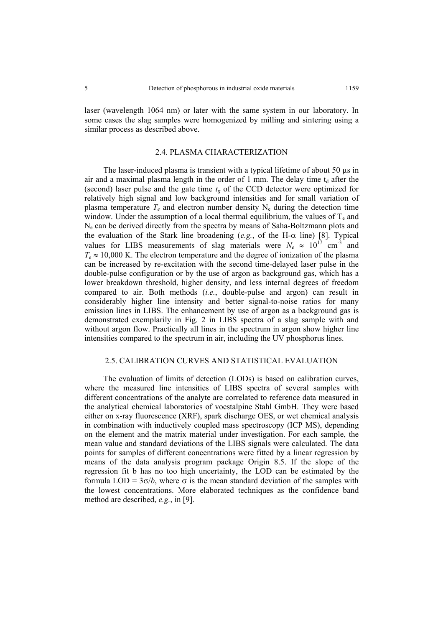laser (wavelength 1064 nm) or later with the same system in our laboratory. In some cases the slag samples were homogenized by milling and sintering using a similar process as described above.

## 2.4. PLASMA CHARACTERIZATION

The laser-induced plasma is transient with a typical lifetime of about 50  $\mu$ s in air and a maximal plasma length in the order of 1 mm. The delay time  $t_d$  after the (second) laser pulse and the gate time  $t<sub>g</sub>$  of the CCD detector were optimized for relatively high signal and low background intensities and for small variation of plasma temperature  $T_e$  and electron number density  $N_e$  during the detection time window. Under the assumption of a local thermal equilibrium, the values of  $T_e$  and Ne can be derived directly from the spectra by means of Saha-Boltzmann plots and the evaluation of the Stark line broadening (*e.g.*, of the H-α line) [8]. Typical values for LIBS measurements of slag materials were  $N_e \approx 10^{17} \text{ cm}^3$  and  $T_e \approx 10,000$  K. The electron temperature and the degree of ionization of the plasma can be increased by re-excitation with the second time-delayed laser pulse in the double-pulse configuration or by the use of argon as background gas, which has a lower breakdown threshold, higher density, and less internal degrees of freedom compared to air. Both methods (*i.e.*, double-pulse and argon) can result in considerably higher line intensity and better signal-to-noise ratios for many emission lines in LIBS. The enhancement by use of argon as a background gas is demonstrated exemplarily in Fig. 2 in LIBS spectra of a slag sample with and without argon flow. Practically all lines in the spectrum in argon show higher line intensities compared to the spectrum in air, including the UV phosphorus lines.

#### 2.5. CALIBRATION CURVES AND STATISTICAL EVALUATION

The evaluation of limits of detection (LODs) is based on calibration curves, where the measured line intensities of LIBS spectra of several samples with different concentrations of the analyte are correlated to reference data measured in the analytical chemical laboratories of voestalpine Stahl GmbH. They were based either on x-ray fluorescence (XRF), spark discharge OES, or wet chemical analysis in combination with inductively coupled mass spectroscopy (ICP MS), depending on the element and the matrix material under investigation. For each sample, the mean value and standard deviations of the LIBS signals were calculated. The data points for samples of different concentrations were fitted by a linear regression by means of the data analysis program package Origin 8.5. If the slope of the regression fit b has no too high uncertainty, the LOD can be estimated by the formula LOD =  $3\sigma/b$ , where  $\sigma$  is the mean standard deviation of the samples with the lowest concentrations. More elaborated techniques as the confidence band method are described, *e.g.*, in [9].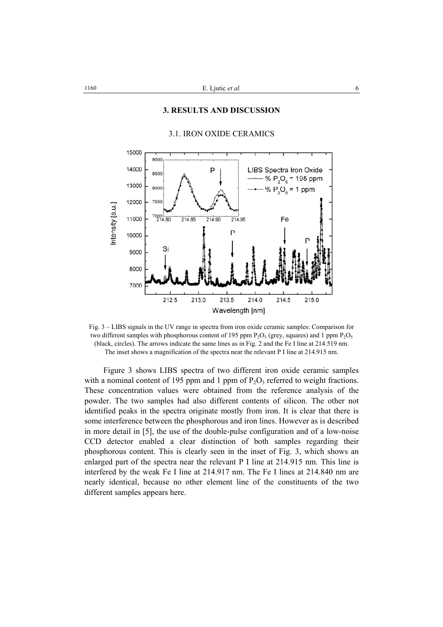### **3. RESULTS AND DISCUSSION**



# 3.1. IRON OXIDE CERAMICS

Fig. 3 – LIBS signals in the UV range in spectra from iron oxide ceramic samples: Comparison for two different samples with phosphorous content of 195 ppm  $P_2O_5$  (grey, squares) and 1 ppm  $P_2O_5$ (black, circles). The arrows indicate the same lines as in Fig. 2 and the Fe I line at 214.519 nm. The inset shows a magnification of the spectra near the relevant P I line at 214.915 nm.

Figure 3 shows LIBS spectra of two different iron oxide ceramic samples with a nominal content of 195 ppm and 1 ppm of  $P_2O_3$  referred to weight fractions. These concentration values were obtained from the reference analysis of the powder. The two samples had also different contents of silicon. The other not identified peaks in the spectra originate mostly from iron. It is clear that there is some interference between the phosphorous and iron lines. However as is described in more detail in [5], the use of the double-pulse configuration and of a low-noise CCD detector enabled a clear distinction of both samples regarding their phosphorous content. This is clearly seen in the inset of Fig. 3, which shows an enlarged part of the spectra near the relevant P I line at 214.915 nm. This line is interfered by the weak Fe I line at 214.917 nm. The Fe I lines at 214.840 nm are nearly identical, because no other element line of the constituents of the two different samples appears here.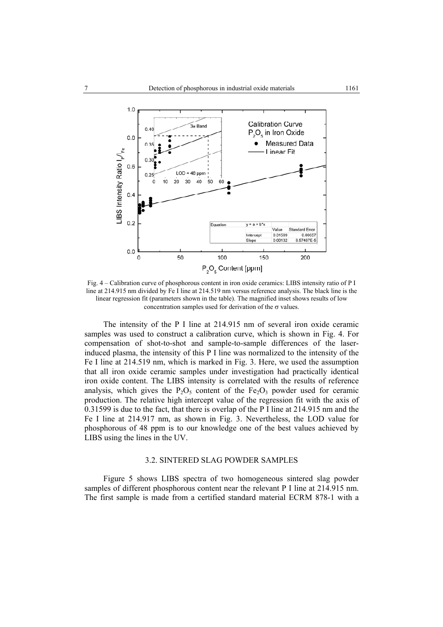

Fig. 4 – Calibration curve of phosphorous content in iron oxide ceramics: LIBS intensity ratio of P I line at 214.915 nm divided by Fe I line at 214.519 nm versus reference analysis. The black line is the linear regression fit (parameters shown in the table). The magnified inset shows results of low concentration samples used for derivation of the  $\sigma$  values.

The intensity of the P I line at 214.915 nm of several iron oxide ceramic samples was used to construct a calibration curve, which is shown in Fig. 4. For compensation of shot-to-shot and sample-to-sample differences of the laserinduced plasma, the intensity of this P I line was normalized to the intensity of the Fe I line at 214.519 nm, which is marked in Fig. 3. Here, we used the assumption that all iron oxide ceramic samples under investigation had practically identical iron oxide content. The LIBS intensity is correlated with the results of reference analysis, which gives the  $P_2O_5$  content of the Fe<sub>2</sub>O<sub>3</sub> powder used for ceramic production. The relative high intercept value of the regression fit with the axis of 0.31599 is due to the fact, that there is overlap of the P I line at 214.915 nm and the Fe I line at 214.917 nm, as shown in Fig. 3. Nevertheless, the LOD value for phosphorous of 48 ppm is to our knowledge one of the best values achieved by LIBS using the lines in the UV.

## 3.2. SINTERED SLAG POWDER SAMPLES

Figure 5 shows LIBS spectra of two homogeneous sintered slag powder samples of different phosphorous content near the relevant P I line at 214.915 nm. The first sample is made from a certified standard material ECRM 878-1 with a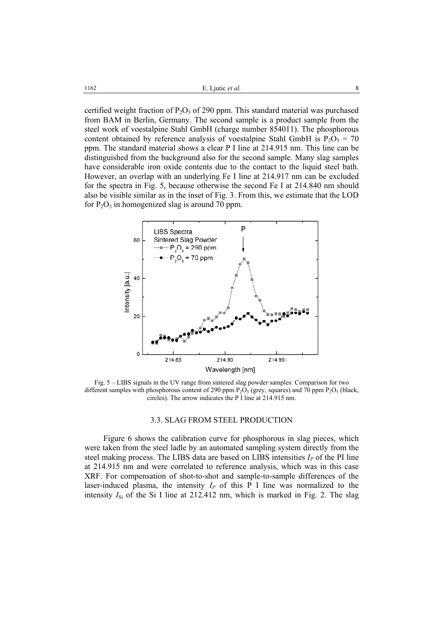certified weight fraction of  $P_2O_5$  of 290 ppm. This standard material was purchased from BAM in Berlin, Germany. The second sample is a product sample from the steel work of voestalpine Stahl GmbH (charge number 854011). The phosphorous content obtained by reference analysis of voestalpine Stahl GmbH is  $P_2O_5 = 70$ ppm. The standard material shows a clear P I line at 214.915 nm. This line can be distinguished from the background also for the second sample. Many slag samples have considerable iron oxide contents due to the contact to the liquid steel bath. However, an overlap with an underlying Fe I line at 214.917 nm can be excluded for the spectra in Fig. 5, because otherwise the second Fe I at 214.840 nm should also be visible similar as in the inset of Fig. 3. From this, we estimate that the LOD for  $P_2O_3$  in homogenized slag is around 70 ppm.



Fig. 5 – LIBS signals in the UV range from sintered slag powder samples: Comparison for two different samples with phosphorous content of 290 ppm  $P_2O_5$  (grey, squares) and 70 ppm  $P_2O_5$  (black, circles). The arrow indicates the P I line at 214.915 nm.

#### 3.3. SLAG FROM STEEL PRODUCTION

Figure 6 shows the calibration curve for phosphorous in slag pieces, which were taken from the steel ladle by an automated sampling system directly from the steel making process. The LIBS data are based on LIBS intensities  $I_P$  of the PI line at 214.915 nm and were correlated to reference analysis, which was in this case XRF. For compensation of shot-to-shot and sample-to-sample differences of the laser-induced plasma, the intensity  $I_P$  of this  $\overline{P}$  I line was normalized to the intensity  $I_{\rm Si}$  of the Si I line at 212.412 nm, which is marked in Fig. 2. The slag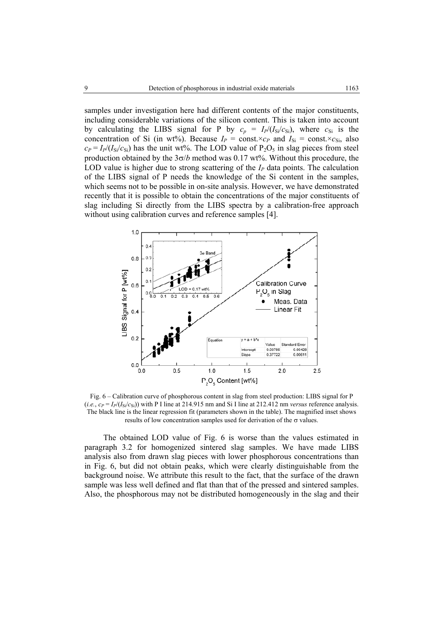samples under investigation here had different contents of the major constituents, including considerable variations of the silicon content. This is taken into account by calculating the LIBS signal for P by  $c_p = I_P/(I_{\rm Si}/c_{\rm Si})$ , where  $c_{\rm Si}$  is the concentration of Si (in wt%). Because  $I_P = \text{const.} \times c_P$  and  $I_{\text{Si}} = \text{const.} \times c_{\text{Si}}$ , also  $c_P = I_P/(I_{\rm Si}/c_{\rm Si})$  has the unit wt%. The LOD value of P<sub>2</sub>O<sub>5</sub> in slag pieces from steel production obtained by the  $3\sigma/b$  method was 0.17 wt%. Without this procedure, the LOD value is higher due to strong scattering of the  $I_p$  data points. The calculation of the LIBS signal of P needs the knowledge of the Si content in the samples, which seems not to be possible in on-site analysis. However, we have demonstrated recently that it is possible to obtain the concentrations of the major constituents of slag including Si directly from the LIBS spectra by a calibration-free approach without using calibration curves and reference samples [4].



Fig. 6 – Calibration curve of phosphorous content in slag from steel production: LIBS signal for P (*i.e.*,  $c_P = I_P/(I_{\rm Si}/c_{\rm Si})$ ) with P I line at 214.915 nm and Si I line at 212.412 nm *versus* reference analysis. The black line is the linear regression fit (parameters shown in the table). The magnified inset shows results of low concentration samples used for derivation of the  $\sigma$  values.

The obtained LOD value of Fig. 6 is worse than the values estimated in paragraph 3.2 for homogenized sintered slag samples. We have made LIBS analysis also from drawn slag pieces with lower phosphorous concentrations than in Fig. 6, but did not obtain peaks, which were clearly distinguishable from the background noise. We attribute this result to the fact, that the surface of the drawn sample was less well defined and flat than that of the pressed and sintered samples. Also, the phosphorous may not be distributed homogeneously in the slag and their